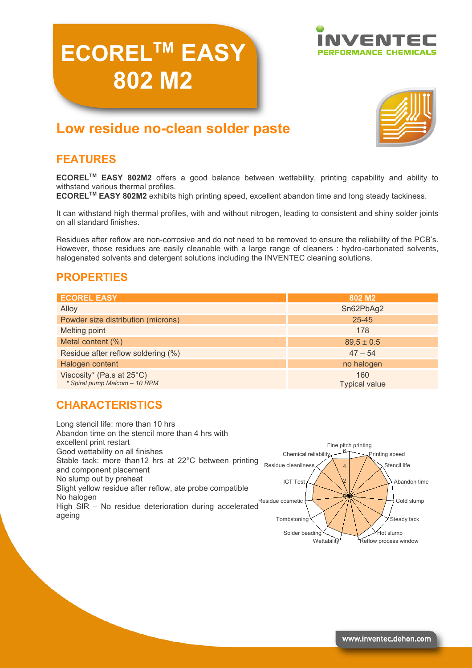# **ECORELTM EASY 802 M2**





## **Low residue no-clean solder paste**

### **FEATURES**

**ECORELTM EASY 802M2** offers a good balance between wettability, printing capability and ability to withstand various thermal profiles.

**ECORELTM EASY 802M2** exhibits high printing speed, excellent abandon time and long steady tackiness.

It can withstand high thermal profiles, with and without nitrogen, leading to consistent and shiny solder joints on all standard finishes.

Residues after reflow are non-corrosive and do not need to be removed to ensure the reliability of the PCB's. However, those residues are easily cleanable with a large range of cleaners : hydro-carbonated solvents, halogenated solvents and detergent solutions including the INVENTEC cleaning solutions.

#### **PROPERTIES**

| <b>ECOREL EASY</b>                                         | 802 M <sub>2</sub>          |
|------------------------------------------------------------|-----------------------------|
| Alloy                                                      | Sn62PbAg2                   |
| Powder size distribution (microns)                         | $25 - 45$                   |
| <b>Melting point</b>                                       | 178                         |
| Metal content (%)                                          | $89.5 \pm 0.5$              |
| Residue after reflow soldering (%)                         | $47 - 54$                   |
| Halogen content                                            | no halogen                  |
| Viscosity* (Pa.s at 25°C)<br>* Spiral pump Malcom - 10 RPM | 160<br><b>Typical value</b> |

## **CHARACTERISTICS**

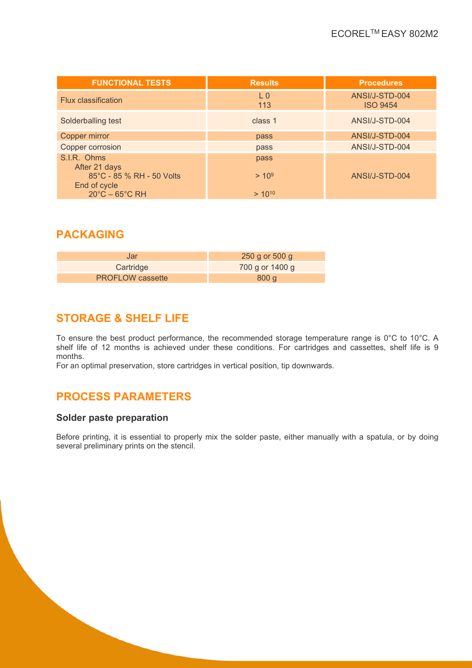| <b>FUNCTIONAL TESTS</b>                   | <b>Results</b> | <b>Procedures</b>                 |
|-------------------------------------------|----------------|-----------------------------------|
| <b>Flux classification</b>                | $L_{0}$<br>113 | ANSI/J-STD-004<br><b>ISO 9454</b> |
| Solderballing test                        | class 1        | ANSI/J-STD-004                    |
| Copper mirror                             | pass           | ANSI/J-STD-004                    |
| Copper corrosion                          | pass           | ANSI/J-STD-004                    |
| S.I.R. Ohms<br>After 21 days              | pass           |                                   |
| 85°C - 85 % RH - 50 Volts<br>End of cycle | $> 10^9$       | ANSI/J-STD-004                    |
| $20^{\circ}$ C – 65 $^{\circ}$ C RH       | $> 10^{10}$    |                                   |

#### **PACKAGING**

| Jar                     | $250$ g or 500 g |
|-------------------------|------------------|
| Cartridge               | 700 g or 1400 g  |
| <b>PROFLOW</b> cassette | 800q             |

## **STORAGE & SHELF LIFE**

To ensure the best product performance, the recommended storage temperature range is 0°C to 10°C. A shelf life of 12 months is achieved under these conditions. For cartridges and cassettes, shelf life is 9 months.

For an optimal preservation, store cartridges in vertical position, tip downwards.

## **PROCESS PARAMETERS**

#### **Solder paste preparation**

Before printing, it is essential to properly mix the solder paste, either manually with a spatula, or by doing several preliminary prints on the stencil.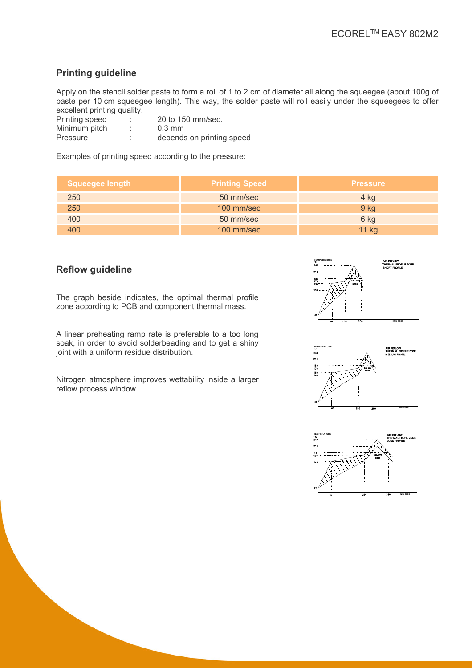#### **Printing guideline**

Apply on the stencil solder paste to form a roll of 1 to 2 cm of diameter all along the squeegee (about 100g of paste per 10 cm squeegee length). This way, the solder paste will roll easily under the squeegees to offer excellent printing quality.

| Printing speed | 20 to 150 mm/sec.         |
|----------------|---------------------------|
| Minimum pitch  | $0.3 \text{ mm}$          |
| Pressure       | depends on printing speed |

Examples of printing speed according to the pressure:

| Squeegee length | <b>Printing Speed</b> | <b>Pressure</b> |
|-----------------|-----------------------|-----------------|
| 250             | 50 mm/sec             | 4 kg            |
| 250             | 100 mm/sec            | 9 <sub>kg</sub> |
| 400             | 50 mm/sec             | 6 kg            |
| 400             | 100 mm/sec            | 11 kg           |

#### **Reflow guideline**

The graph beside indicates, the optimal thermal profile zone according to PCB and component thermal mass.

A linear preheating ramp rate is preferable to a too long soak, in order to avoid solderbeading and to get a shiny joint with a uniform residue distribution.

Nitrogen atmosphere improves wettability inside a larger reflow process window.